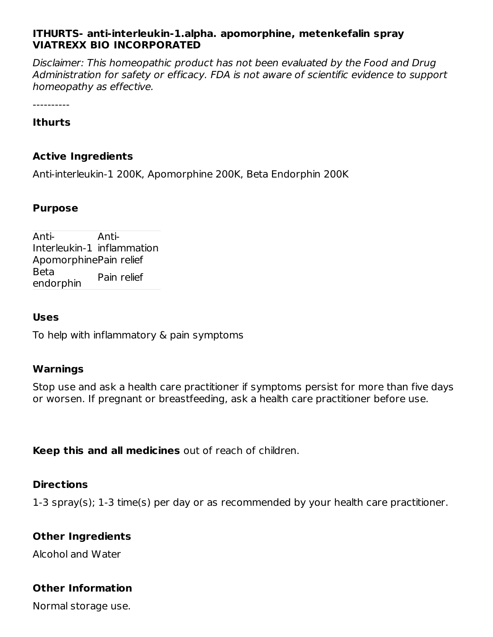### **ITHURTS- anti-interleukin-1.alpha. apomorphine, metenkefalin spray VIATREXX BIO INCORPORATED**

Disclaimer: This homeopathic product has not been evaluated by the Food and Drug Administration for safety or efficacy. FDA is not aware of scientific evidence to support homeopathy as effective.

----------

#### **Ithurts**

#### **Active Ingredients**

Anti-interleukin-1 200K, Apomorphine 200K, Beta Endorphin 200K

#### **Purpose**

Anti-Interleukin-1 inflammation Anti-ApomorphinePain relief Beta endorphin Pain relief

#### **Uses**

To help with inflammatory & pain symptoms

#### **Warnings**

Stop use and ask a health care practitioner if symptoms persist for more than five days or worsen. If pregnant or breastfeeding, ask a health care practitioner before use.

**Keep this and all medicines** out of reach of children.

#### **Directions**

1-3 spray(s); 1-3 time(s) per day or as recommended by your health care practitioner.

#### **Other Ingredients**

Alcohol and Water

## **Other Information**

Normal storage use.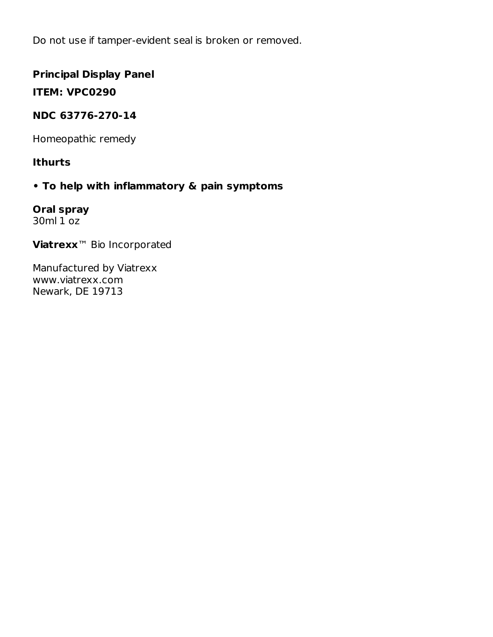Do not use if tamper-evident seal is broken or removed.

## **Principal Display Panel**

**ITEM: VPC0290**

## **NDC 63776-270-14**

Homeopathic remedy

## **Ithurts**

## **• To help with inflammatory & pain symptoms**

**Oral spray** 30ml 1 oz

**Viatrexx**™ Bio Incorporated

Manufactured by Viatrexx www.viatrexx.com Newark, DE 19713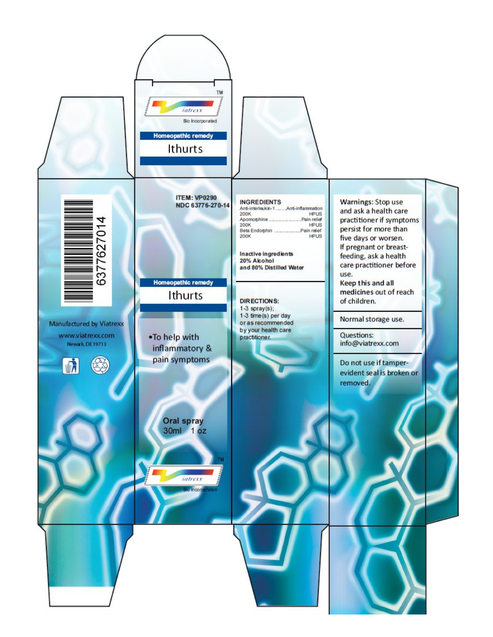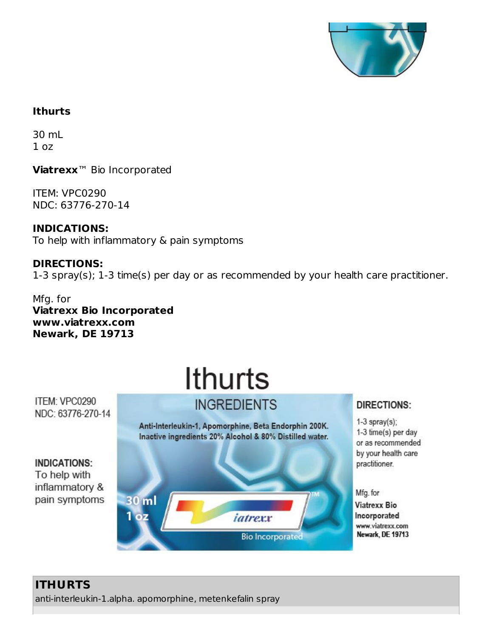

## **Ithurts**

30 mL  $1<sub>oz</sub>$ 

**Viatrexx**™ Bio Incorporated

ITEM: VPC0290 NDC: 63776-270-14

**INDICATIONS:** To help with inflammatory & pain symptoms

**DIRECTIONS:** 1-3 spray(s); 1-3 time(s) per day or as recommended by your health care practitioner.

Mfg. for **Viatrexx Bio Incorporated www.viatrexx.com Newark, DE 19713**

# Ithurts **INGREDIENTS**

ITEM: VPC0290 NDC: 63776-270-14

> Anti-Interleukin-1, Apomorphine, Beta Endorphin 200K. Inactive ingredients 20% Alcohol & 80% Distilled water.

**INDICATIONS:** To help with inflammatory & pain symptoms



DIRECTIONS:

 $1-3$  spray(s); 1-3 time(s) per day or as recommended by your health care practitioner.

Mfg. for

**Viatrexx Bio** Incorporated www.viatrexx.com Newark, DE 19713

## **ITHURTS**

anti-interleukin-1.alpha. apomorphine, metenkefalin spray